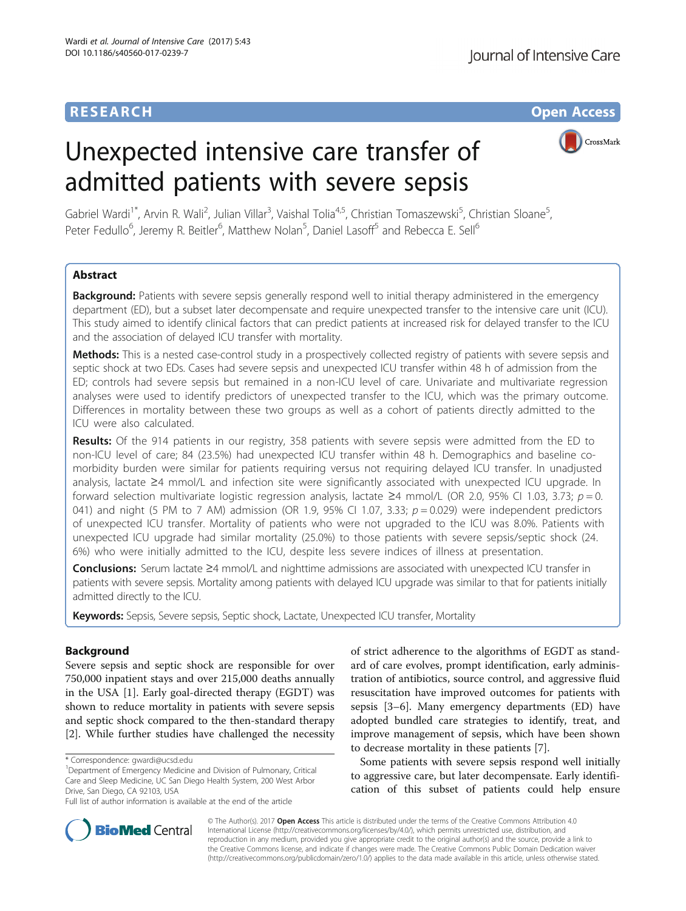# **RESEARCH CHE Open Access**

# Unexpected intensive care transfer of admitted patients with severe sepsis



Gabriel Wardi<sup>1\*</sup>, Arvin R. Wali<sup>2</sup>, Julian Villar<sup>3</sup>, Vaishal Tolia<sup>4,5</sup>, Christian Tomaszewski<sup>5</sup>, Christian Sloane<sup>5</sup> , Peter Fedullo<sup>6</sup>, Jeremy R. Beitler<sup>6</sup>, Matthew Nolan<sup>5</sup>, Daniel Lasoff<sup>5</sup> and Rebecca E. Sell<sup>6</sup>

## Abstract

Background: Patients with severe sepsis generally respond well to initial therapy administered in the emergency department (ED), but a subset later decompensate and require unexpected transfer to the intensive care unit (ICU). This study aimed to identify clinical factors that can predict patients at increased risk for delayed transfer to the ICU and the association of delayed ICU transfer with mortality.

Methods: This is a nested case-control study in a prospectively collected registry of patients with severe sepsis and septic shock at two EDs. Cases had severe sepsis and unexpected ICU transfer within 48 h of admission from the ED; controls had severe sepsis but remained in a non-ICU level of care. Univariate and multivariate regression analyses were used to identify predictors of unexpected transfer to the ICU, which was the primary outcome. Differences in mortality between these two groups as well as a cohort of patients directly admitted to the ICU were also calculated.

Results: Of the 914 patients in our registry, 358 patients with severe sepsis were admitted from the ED to non-ICU level of care; 84 (23.5%) had unexpected ICU transfer within 48 h. Demographics and baseline comorbidity burden were similar for patients requiring versus not requiring delayed ICU transfer. In unadjusted analysis, lactate ≥4 mmol/L and infection site were significantly associated with unexpected ICU upgrade. In forward selection multivariate logistic regression analysis, lactate ≥4 mmol/L (OR 2.0, 95% CI 1.03, 3.73;  $p = 0$ . 041) and night (5 PM to 7 AM) admission (OR 1.9, 95% CI 1.07, 3.33;  $p = 0.029$ ) were independent predictors of unexpected ICU transfer. Mortality of patients who were not upgraded to the ICU was 8.0%. Patients with unexpected ICU upgrade had similar mortality (25.0%) to those patients with severe sepsis/septic shock (24. 6%) who were initially admitted to the ICU, despite less severe indices of illness at presentation.

Conclusions: Serum lactate ≥4 mmol/L and nighttime admissions are associated with unexpected ICU transfer in patients with severe sepsis. Mortality among patients with delayed ICU upgrade was similar to that for patients initially admitted directly to the ICU.

Keywords: Sepsis, Severe sepsis, Septic shock, Lactate, Unexpected ICU transfer, Mortality

## Background

Severe sepsis and septic shock are responsible for over 750,000 inpatient stays and over 215,000 deaths annually in the USA [\[1](#page-7-0)]. Early goal-directed therapy (EGDT) was shown to reduce mortality in patients with severe sepsis and septic shock compared to the then-standard therapy [[2\]](#page-7-0). While further studies have challenged the necessity

of strict adherence to the algorithms of EGDT as standard of care evolves, prompt identification, early administration of antibiotics, source control, and aggressive fluid resuscitation have improved outcomes for patients with sepsis [\[3](#page-7-0)–[6](#page-7-0)]. Many emergency departments (ED) have adopted bundled care strategies to identify, treat, and improve management of sepsis, which have been shown to decrease mortality in these patients [\[7](#page-7-0)].

Some patients with severe sepsis respond well initially to aggressive care, but later decompensate. Early identification of this subset of patients could help ensure



© The Author(s). 2017 **Open Access** This article is distributed under the terms of the Creative Commons Attribution 4.0 International License [\(http://creativecommons.org/licenses/by/4.0/](http://creativecommons.org/licenses/by/4.0/)), which permits unrestricted use, distribution, and reproduction in any medium, provided you give appropriate credit to the original author(s) and the source, provide a link to the Creative Commons license, and indicate if changes were made. The Creative Commons Public Domain Dedication waiver [\(http://creativecommons.org/publicdomain/zero/1.0/](http://creativecommons.org/publicdomain/zero/1.0/)) applies to the data made available in this article, unless otherwise stated.

<sup>\*</sup> Correspondence: [gwardi@ucsd.edu](mailto:gwardi@ucsd.edu) <sup>1</sup>

<sup>&</sup>lt;sup>1</sup>Department of Emergency Medicine and Division of Pulmonary, Critical Care and Sleep Medicine, UC San Diego Health System, 200 West Arbor Drive, San Diego, CA 92103, USA

Full list of author information is available at the end of the article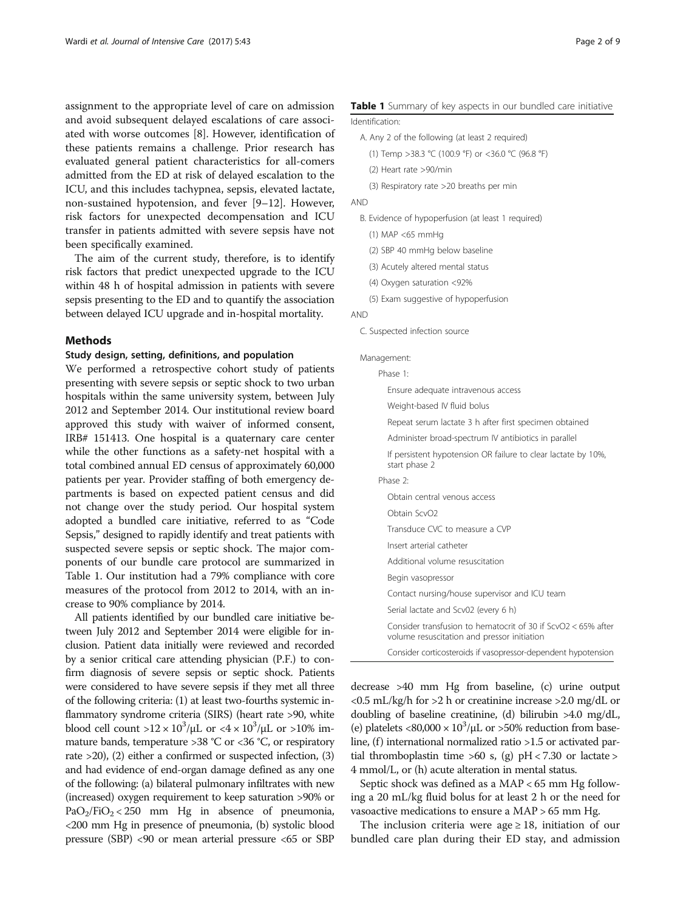assignment to the appropriate level of care on admission and avoid subsequent delayed escalations of care associated with worse outcomes [[8\]](#page-7-0). However, identification of these patients remains a challenge. Prior research has evaluated general patient characteristics for all-comers admitted from the ED at risk of delayed escalation to the ICU, and this includes tachypnea, sepsis, elevated lactate, non-sustained hypotension, and fever [\[9](#page-7-0)–[12\]](#page-7-0). However, risk factors for unexpected decompensation and ICU transfer in patients admitted with severe sepsis have not been specifically examined.

The aim of the current study, therefore, is to identify risk factors that predict unexpected upgrade to the ICU within 48 h of hospital admission in patients with severe sepsis presenting to the ED and to quantify the association between delayed ICU upgrade and in-hospital mortality.

#### Methods

#### Study design, setting, definitions, and population

We performed a retrospective cohort study of patients presenting with severe sepsis or septic shock to two urban hospitals within the same university system, between July 2012 and September 2014. Our institutional review board approved this study with waiver of informed consent, IRB# 151413. One hospital is a quaternary care center while the other functions as a safety-net hospital with a total combined annual ED census of approximately 60,000 patients per year. Provider staffing of both emergency departments is based on expected patient census and did not change over the study period. Our hospital system adopted a bundled care initiative, referred to as "Code Sepsis," designed to rapidly identify and treat patients with suspected severe sepsis or septic shock. The major components of our bundle care protocol are summarized in Table 1. Our institution had a 79% compliance with core measures of the protocol from 2012 to 2014, with an increase to 90% compliance by 2014.

All patients identified by our bundled care initiative between July 2012 and September 2014 were eligible for inclusion. Patient data initially were reviewed and recorded by a senior critical care attending physician (P.F.) to confirm diagnosis of severe sepsis or septic shock. Patients were considered to have severe sepsis if they met all three of the following criteria: (1) at least two-fourths systemic inflammatory syndrome criteria (SIRS) (heart rate >90, white blood cell count  $>12 \times 10^3/\mu L$  or  $<4 \times 10^3/\mu L$  or  $>10\%$  immature bands, temperature >38 °C or <36 °C, or respiratory rate >20), (2) either a confirmed or suspected infection, (3) and had evidence of end-organ damage defined as any one of the following: (a) bilateral pulmonary infiltrates with new (increased) oxygen requirement to keep saturation >90% or  $PaO<sub>2</sub>/FiO<sub>2</sub> < 250$  mm Hg in absence of pneumonia, <200 mm Hg in presence of pneumonia, (b) systolic blood pressure (SBP) <90 or mean arterial pressure <65 or SBP

#### Table 1 Summary of key aspects in our bundled care initiative

#### Identification:

- A. Any 2 of the following (at least 2 required)
	- (1) Temp >38.3 °C (100.9 °F) or <36.0 °C (96.8 °F)
	- (2) Heart rate >90/min
	- (3) Respiratory rate >20 breaths per min

#### AND

- B. Evidence of hypoperfusion (at least 1 required)
	- (1) MAP <65 mmHg
	- (2) SBP 40 mmHg below baseline
	- (3) Acutely altered mental status
	- (4) Oxygen saturation <92%
	- (5) Exam suggestive of hypoperfusion

#### AND

C. Suspected infection source

Management:

| Phase 1:                                                                                                     |
|--------------------------------------------------------------------------------------------------------------|
| Ensure adequate intravenous access                                                                           |
| Weight-based IV fluid bolus                                                                                  |
| Repeat serum lactate 3 h after first specimen obtained                                                       |
| Administer broad-spectrum IV antibiotics in parallel                                                         |
| If persistent hypotension OR failure to clear lactate by 10%,<br>start phase 2                               |
| Phase 2:                                                                                                     |
| Obtain central venous access                                                                                 |
| Obtain ScvO <sub>2</sub>                                                                                     |
| Transduce CVC to measure a CVP                                                                               |
| Insert arterial catheter                                                                                     |
| Additional volume resuscitation                                                                              |
| Begin vasopressor                                                                                            |
| Contact nursing/house supervisor and ICU team                                                                |
| Serial lactate and Scv02 (every 6 h)                                                                         |
| Consider transfusion to hematocrit of 30 if ScvO2 < 65% after<br>volume resuscitation and pressor initiation |
| Consider corticosteroids if vasopressor-dependent hypotension                                                |

decrease >40 mm Hg from baseline, (c) urine output  $\langle 0.5 \text{ mL/kg/h}$  for  $>2 \text{ h}$  or creatinine increase  $>2.0 \text{ mg/dL}$  or doubling of baseline creatinine, (d) bilirubin >4.0 mg/dL, (e) platelets <80,000  $\times$   $10^3/\mu$ L or >50% reduction from baseline,  $(f)$  international normalized ratio  $>1.5$  or activated partial thromboplastin time  $>60$  s, (g) pH < 7.30 or lactate > 4 mmol/L, or (h) acute alteration in mental status.

Septic shock was defined as a MAP < 65 mm Hg following a 20 mL/kg fluid bolus for at least 2 h or the need for vasoactive medications to ensure a MAP > 65 mm Hg.

The inclusion criteria were age  $\geq$  18, initiation of our bundled care plan during their ED stay, and admission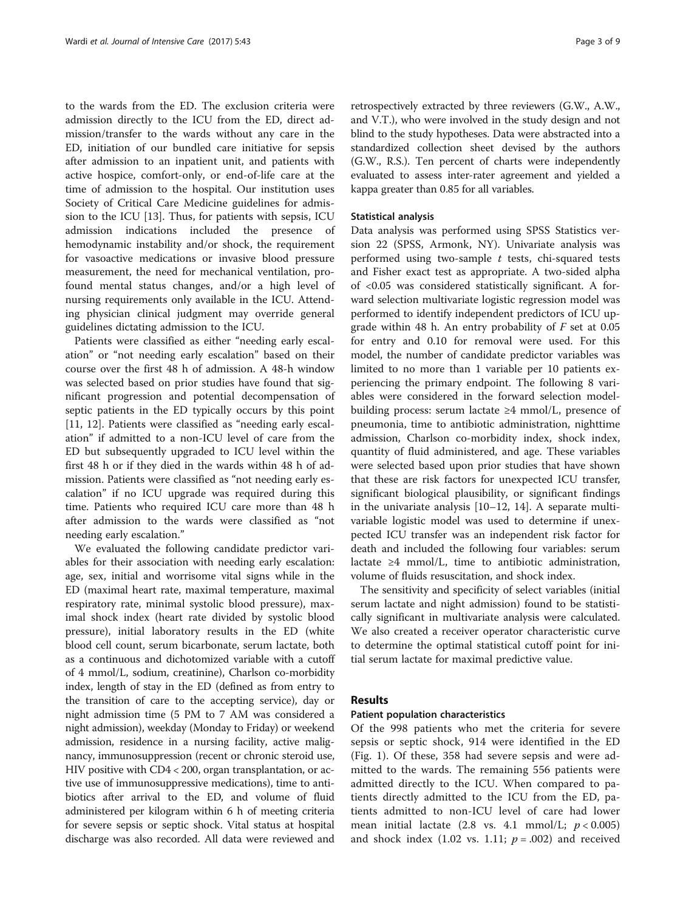to the wards from the ED. The exclusion criteria were admission directly to the ICU from the ED, direct admission/transfer to the wards without any care in the ED, initiation of our bundled care initiative for sepsis after admission to an inpatient unit, and patients with active hospice, comfort-only, or end-of-life care at the time of admission to the hospital. Our institution uses Society of Critical Care Medicine guidelines for admission to the ICU [[13\]](#page-7-0). Thus, for patients with sepsis, ICU admission indications included the presence of hemodynamic instability and/or shock, the requirement for vasoactive medications or invasive blood pressure measurement, the need for mechanical ventilation, profound mental status changes, and/or a high level of nursing requirements only available in the ICU. Attending physician clinical judgment may override general guidelines dictating admission to the ICU.

Patients were classified as either "needing early escalation" or "not needing early escalation" based on their course over the first 48 h of admission. A 48-h window was selected based on prior studies have found that significant progression and potential decompensation of septic patients in the ED typically occurs by this point [[11, 12](#page-7-0)]. Patients were classified as "needing early escalation" if admitted to a non-ICU level of care from the ED but subsequently upgraded to ICU level within the first 48 h or if they died in the wards within 48 h of admission. Patients were classified as "not needing early escalation" if no ICU upgrade was required during this time. Patients who required ICU care more than 48 h after admission to the wards were classified as "not needing early escalation."

We evaluated the following candidate predictor variables for their association with needing early escalation: age, sex, initial and worrisome vital signs while in the ED (maximal heart rate, maximal temperature, maximal respiratory rate, minimal systolic blood pressure), maximal shock index (heart rate divided by systolic blood pressure), initial laboratory results in the ED (white blood cell count, serum bicarbonate, serum lactate, both as a continuous and dichotomized variable with a cutoff of 4 mmol/L, sodium, creatinine), Charlson co-morbidity index, length of stay in the ED (defined as from entry to the transition of care to the accepting service), day or night admission time (5 PM to 7 AM was considered a night admission), weekday (Monday to Friday) or weekend admission, residence in a nursing facility, active malignancy, immunosuppression (recent or chronic steroid use, HIV positive with CD4 < 200, organ transplantation, or active use of immunosuppressive medications), time to antibiotics after arrival to the ED, and volume of fluid administered per kilogram within 6 h of meeting criteria for severe sepsis or septic shock. Vital status at hospital discharge was also recorded. All data were reviewed and retrospectively extracted by three reviewers (G.W., A.W., and V.T.), who were involved in the study design and not blind to the study hypotheses. Data were abstracted into a standardized collection sheet devised by the authors (G.W., R.S.). Ten percent of charts were independently evaluated to assess inter-rater agreement and yielded a kappa greater than 0.85 for all variables.

#### Statistical analysis

Data analysis was performed using SPSS Statistics version 22 (SPSS, Armonk, NY). Univariate analysis was performed using two-sample  $t$  tests, chi-squared tests and Fisher exact test as appropriate. A two-sided alpha of <0.05 was considered statistically significant. A forward selection multivariate logistic regression model was performed to identify independent predictors of ICU upgrade within 48 h. An entry probability of  $F$  set at 0.05 for entry and 0.10 for removal were used. For this model, the number of candidate predictor variables was limited to no more than 1 variable per 10 patients experiencing the primary endpoint. The following 8 variables were considered in the forward selection modelbuilding process: serum lactate  $\geq 4$  mmol/L, presence of pneumonia, time to antibiotic administration, nighttime admission, Charlson co-morbidity index, shock index, quantity of fluid administered, and age. These variables were selected based upon prior studies that have shown that these are risk factors for unexpected ICU transfer, significant biological plausibility, or significant findings in the univariate analysis [\[10](#page-7-0)–[12, 14](#page-7-0)]. A separate multivariable logistic model was used to determine if unexpected ICU transfer was an independent risk factor for death and included the following four variables: serum lactate  $\geq 4$  mmol/L, time to antibiotic administration, volume of fluids resuscitation, and shock index.

The sensitivity and specificity of select variables (initial serum lactate and night admission) found to be statistically significant in multivariate analysis were calculated. We also created a receiver operator characteristic curve to determine the optimal statistical cutoff point for initial serum lactate for maximal predictive value.

#### Results

#### Patient population characteristics

Of the 998 patients who met the criteria for severe sepsis or septic shock, 914 were identified in the ED (Fig. [1](#page-3-0)). Of these, 358 had severe sepsis and were admitted to the wards. The remaining 556 patients were admitted directly to the ICU. When compared to patients directly admitted to the ICU from the ED, patients admitted to non-ICU level of care had lower mean initial lactate  $(2.8 \text{ vs. } 4.1 \text{ mmol/L}; p < 0.005)$ and shock index  $(1.02 \text{ vs. } 1.11; p = .002)$  and received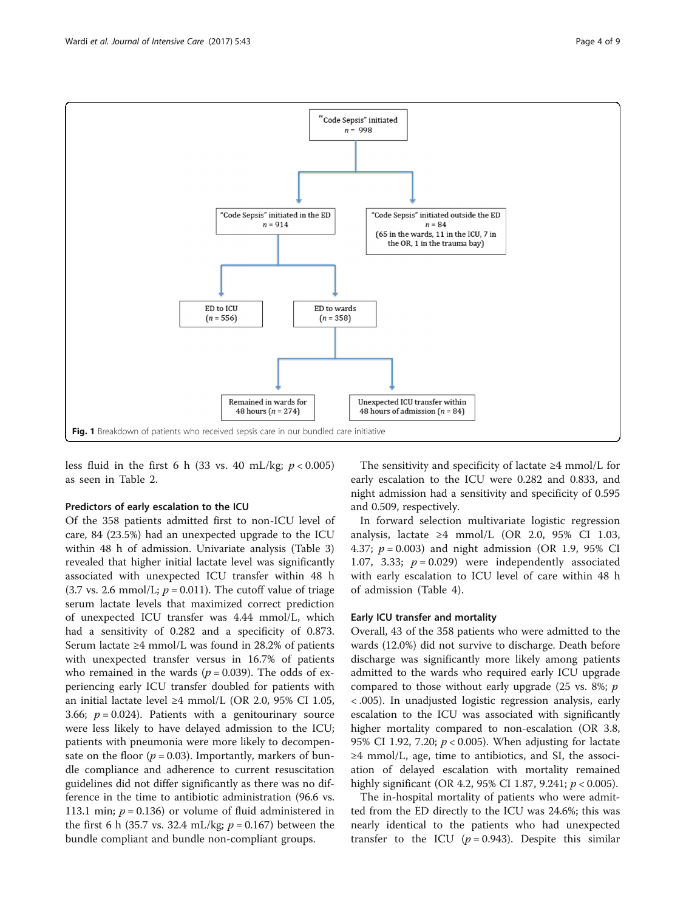<span id="page-3-0"></span>

less fluid in the first 6 h (33 vs. 40 mL/kg;  $p < 0.005$ ) as seen in Table [2.](#page-4-0)

#### Predictors of early escalation to the ICU

Of the 358 patients admitted first to non-ICU level of care, 84 (23.5%) had an unexpected upgrade to the ICU within 48 h of admission. Univariate analysis (Table [3](#page-5-0)) revealed that higher initial lactate level was significantly associated with unexpected ICU transfer within 48 h (3.7 vs. 2.6 mmol/L;  $p = 0.011$ ). The cutoff value of triage serum lactate levels that maximized correct prediction of unexpected ICU transfer was 4.44 mmol/L, which had a sensitivity of 0.282 and a specificity of 0.873. Serum lactate  $\geq 4$  mmol/L was found in 28.2% of patients with unexpected transfer versus in 16.7% of patients who remained in the wards ( $p = 0.039$ ). The odds of experiencing early ICU transfer doubled for patients with an initial lactate level ≥4 mmol/L (OR 2.0, 95% CI 1.05, 3.66;  $p = 0.024$ ). Patients with a genitourinary source were less likely to have delayed admission to the ICU; patients with pneumonia were more likely to decompensate on the floor ( $p = 0.03$ ). Importantly, markers of bundle compliance and adherence to current resuscitation guidelines did not differ significantly as there was no difference in the time to antibiotic administration (96.6 vs. 113.1 min;  $p = 0.136$ ) or volume of fluid administered in the first 6 h (35.7 vs. 32.4 mL/kg;  $p = 0.167$ ) between the bundle compliant and bundle non-compliant groups.

The sensitivity and specificity of lactate  $\geq 4$  mmol/L for early escalation to the ICU were 0.282 and 0.833, and night admission had a sensitivity and specificity of 0.595 and 0.509, respectively.

In forward selection multivariate logistic regression analysis, lactate ≥4 mmol/L (OR 2.0, 95% CI 1.03, 4.37;  $p = 0.003$ ) and night admission (OR 1.9, 95% CI 1.07, 3.33;  $p = 0.029$ ) were independently associated with early escalation to ICU level of care within 48 h of admission (Table [4](#page-6-0)).

#### Early ICU transfer and mortality

Overall, 43 of the 358 patients who were admitted to the wards (12.0%) did not survive to discharge. Death before discharge was significantly more likely among patients admitted to the wards who required early ICU upgrade compared to those without early upgrade  $(25 \text{ vs. } 8\%)$ ; p < .005). In unadjusted logistic regression analysis, early escalation to the ICU was associated with significantly higher mortality compared to non-escalation (OR 3.8, 95% CI 1.92, 7.20;  $p < 0.005$ ). When adjusting for lactate  $\geq$ 4 mmol/L, age, time to antibiotics, and SI, the association of delayed escalation with mortality remained highly significant (OR 4.2, 95% CI 1.87, 9.241; p < 0.005).

The in-hospital mortality of patients who were admitted from the ED directly to the ICU was 24.6%; this was nearly identical to the patients who had unexpected transfer to the ICU ( $p = 0.943$ ). Despite this similar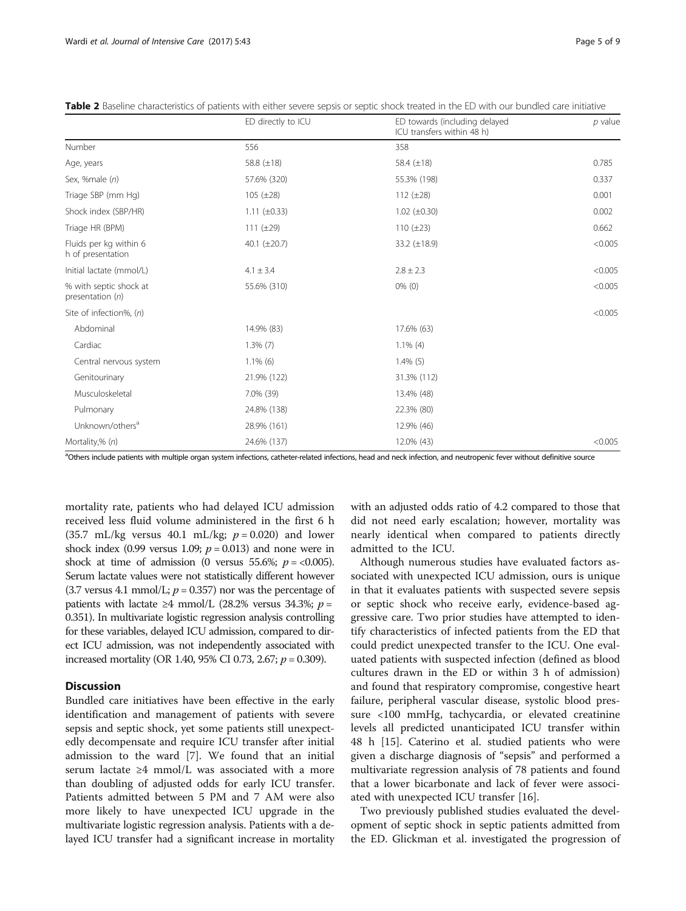|                                              | ED directly to ICU | ED towards (including delayed<br>ICU transfers within 48 h) | $p$ value |
|----------------------------------------------|--------------------|-------------------------------------------------------------|-----------|
| Number                                       | 556                | 358                                                         |           |
| Age, years                                   | 58.8 $(\pm 18)$    | 58.4 $(\pm 18)$                                             | 0.785     |
| Sex, %male (n)                               | 57.6% (320)        | 55.3% (198)                                                 | 0.337     |
| Triage SBP (mm Hg)                           | $105 (\pm 28)$     | 112 $(\pm 28)$                                              | 0.001     |
| Shock index (SBP/HR)                         | $1.11 (\pm 0.33)$  | $1.02 \ (\pm 0.30)$                                         | 0.002     |
| Triage HR (BPM)                              | 111 $(\pm 29)$     | 110 $(\pm 23)$                                              | 0.662     |
| Fluids per kg within 6<br>h of presentation  | 40.1 $(\pm 20.7)$  | 33.2 (±18.9)                                                | < 0.005   |
| Initial lactate (mmol/L)                     | $4.1 \pm 3.4$      | $2.8 \pm 2.3$                                               | < 0.005   |
| % with septic shock at<br>presentation $(n)$ | 55.6% (310)        | $0\%$ (0)                                                   | < 0.005   |
| Site of infection%, (n)                      |                    |                                                             | < 0.005   |
| Abdominal                                    | 14.9% (83)         | 17.6% (63)                                                  |           |
| Cardiac                                      | $1.3\%$ (7)        | $1.1\%$ (4)                                                 |           |
| Central nervous system                       | $1.1\%$ (6)        | $1.4\%$ (5)                                                 |           |
| Genitourinary                                | 21.9% (122)        | 31.3% (112)                                                 |           |
| Musculoskeletal                              | 7.0% (39)          | 13.4% (48)                                                  |           |
| Pulmonary                                    | 24.8% (138)        | 22.3% (80)                                                  |           |
| Unknown/others <sup>a</sup>                  | 28.9% (161)        | 12.9% (46)                                                  |           |
| Mortality,% (n)                              | 24.6% (137)        | 12.0% (43)                                                  | < 0.005   |

<span id="page-4-0"></span>Table 2 Baseline characteristics of patients with either severe sepsis or septic shock treated in the ED with our bundled care initiative

<sup>a</sup>Others include patients with multiple organ system infections, catheter-related infections, head and neck infection, and neutropenic fever without definitive source

mortality rate, patients who had delayed ICU admission received less fluid volume administered in the first 6 h (35.7 mL/kg versus 40.1 mL/kg;  $p = 0.020$ ) and lower shock index (0.99 versus 1.09;  $p = 0.013$ ) and none were in shock at time of admission (0 versus 55.6%;  $p = <0.005$ ). Serum lactate values were not statistically different however (3.7 versus 4.1 mmol/L;  $p = 0.357$ ) nor was the percentage of patients with lactate ≥4 mmol/L (28.2% versus 34.3%;  $p =$ 0.351). In multivariate logistic regression analysis controlling for these variables, delayed ICU admission, compared to direct ICU admission, was not independently associated with increased mortality (OR 1.40, 95% CI 0.73, 2.67;  $p = 0.309$ ).

#### **Discussion**

Bundled care initiatives have been effective in the early identification and management of patients with severe sepsis and septic shock, yet some patients still unexpectedly decompensate and require ICU transfer after initial admission to the ward [[7\]](#page-7-0). We found that an initial serum lactate  $\geq 4$  mmol/L was associated with a more than doubling of adjusted odds for early ICU transfer. Patients admitted between 5 PM and 7 AM were also more likely to have unexpected ICU upgrade in the multivariate logistic regression analysis. Patients with a delayed ICU transfer had a significant increase in mortality with an adjusted odds ratio of 4.2 compared to those that did not need early escalation; however, mortality was nearly identical when compared to patients directly admitted to the ICU.

Although numerous studies have evaluated factors associated with unexpected ICU admission, ours is unique in that it evaluates patients with suspected severe sepsis or septic shock who receive early, evidence-based aggressive care. Two prior studies have attempted to identify characteristics of infected patients from the ED that could predict unexpected transfer to the ICU. One evaluated patients with suspected infection (defined as blood cultures drawn in the ED or within 3 h of admission) and found that respiratory compromise, congestive heart failure, peripheral vascular disease, systolic blood pressure <100 mmHg, tachycardia, or elevated creatinine levels all predicted unanticipated ICU transfer within 48 h [\[15\]](#page-7-0). Caterino et al. studied patients who were given a discharge diagnosis of "sepsis" and performed a multivariate regression analysis of 78 patients and found that a lower bicarbonate and lack of fever were associated with unexpected ICU transfer [\[16](#page-7-0)].

Two previously published studies evaluated the development of septic shock in septic patients admitted from the ED. Glickman et al. investigated the progression of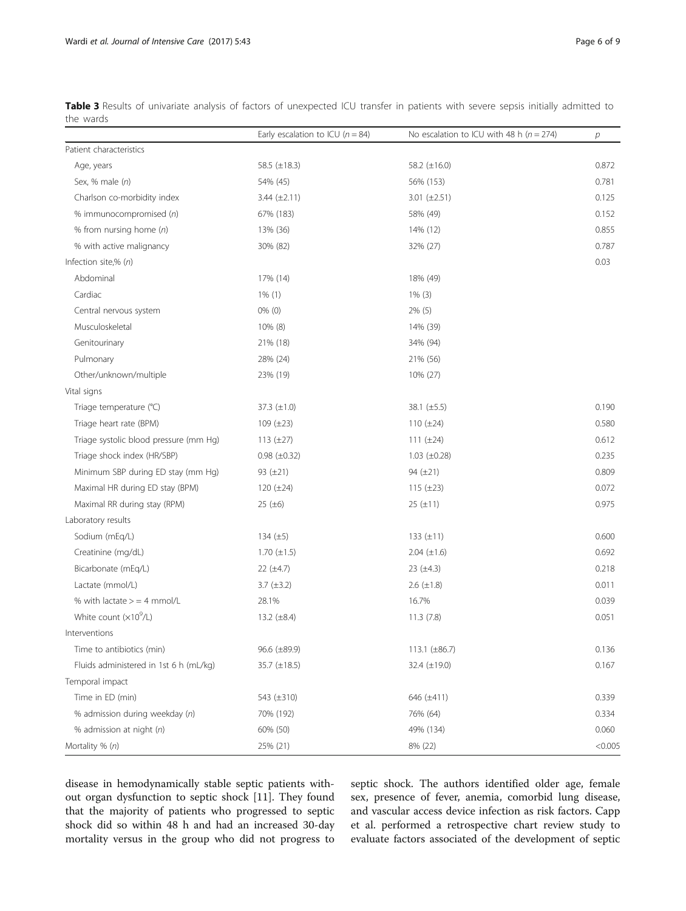|                                        | Early escalation to ICU ( $n = 84$ ) | No escalation to ICU with 48 h ( $n = 274$ ) | $\overline{p}$ |
|----------------------------------------|--------------------------------------|----------------------------------------------|----------------|
| Patient characteristics                |                                      |                                              |                |
| Age, years                             | 58.5 $(\pm 18.3)$                    | 58.2 (±16.0)                                 | 0.872          |
| Sex, % male (n)                        | 54% (45)                             | 56% (153)                                    | 0.781          |
| Charlson co-morbidity index            | $3.44 (\pm 2.11)$                    | $3.01 (\pm 2.51)$                            | 0.125          |
| % immunocompromised (n)                | 67% (183)                            | 58% (49)                                     | 0.152          |
| % from nursing home $(n)$              | 13% (36)                             | 14% (12)                                     | 0.855          |
| % with active malignancy               | 30% (82)                             | 32% (27)                                     | 0.787          |
| Infection site,% (n)                   |                                      |                                              | 0.03           |
| Abdominal                              | 17% (14)                             | 18% (49)                                     |                |
| Cardiac                                | $1\%$ (1)                            | $1\%$ (3)                                    |                |
| Central nervous system                 | $0\%$ (0)                            | $2\%$ (5)                                    |                |
| Musculoskeletal                        | 10% (8)                              | 14% (39)                                     |                |
| Genitourinary                          | 21% (18)                             | 34% (94)                                     |                |
| Pulmonary                              | 28% (24)                             | 21% (56)                                     |                |
| Other/unknown/multiple                 | 23% (19)                             | 10% (27)                                     |                |
| Vital signs                            |                                      |                                              |                |
| Triage temperature (°C)                | 37.3 $(\pm 1.0)$                     | 38.1 $(\pm 5.5)$                             | 0.190          |
| Triage heart rate (BPM)                | 109 $(\pm 23)$                       | 110 $(\pm 24)$                               | 0.580          |
| Triage systolic blood pressure (mm Hg) | 113 $(\pm 27)$                       | 111 $(\pm 24)$                               | 0.612          |
| Triage shock index (HR/SBP)            | $0.98 \ (\pm 0.32)$                  | $1.03 \ (\pm 0.28)$                          | 0.235          |
| Minimum SBP during ED stay (mm Hg)     | 93 (±21)                             | 94 $(\pm 21)$                                | 0.809          |
| Maximal HR during ED stay (BPM)        | 120 $(\pm 24)$                       | $115 (\pm 23)$                               | 0.072          |
| Maximal RR during stay (RPM)           | $25 (\pm 6)$                         | $25 (\pm 11)$                                | 0.975          |
| Laboratory results                     |                                      |                                              |                |
| Sodium (mEq/L)                         | 134 $(\pm 5)$                        | 133 $(\pm 11)$                               | 0.600          |
| Creatinine (mg/dL)                     | $1.70 \ (\pm 1.5)$                   | $2.04 \ (\pm 1.6)$                           | 0.692          |
| Bicarbonate (mEq/L)                    | 22 $(\pm 4.7)$                       | 23 $(\pm 4.3)$                               | 0.218          |
| Lactate (mmol/L)                       | 3.7 $(\pm 3.2)$                      | 2.6 $(\pm 1.8)$                              | 0.011          |
| % with lactate $>$ = 4 mmol/L          | 28.1%                                | 16.7%                                        | 0.039          |
| White count $(x10^9/L)$                | 13.2 $(\pm 8.4)$                     | 11.3(7.8)                                    | 0.051          |
| Interventions                          |                                      |                                              |                |
| Time to antibiotics (min)              | 96.6 (±89.9)                         | 113.1 $(\pm 86.7)$                           | 0.136          |
| Fluids administered in 1st 6 h (mL/kg) | 35.7 (±18.5)                         | 32.4 (±19.0)                                 | 0.167          |
| Temporal impact                        |                                      |                                              |                |
| Time in ED (min)                       | 543 (±310)                           | 646 (±411)                                   | 0.339          |
| % admission during weekday (n)         | 70% (192)                            | 76% (64)                                     | 0.334          |
| % admission at night (n)               | 60% (50)                             | 49% (134)                                    | 0.060          |
| Mortality % (n)                        | 25% (21)                             | 8% (22)                                      | < 0.005        |

<span id="page-5-0"></span>Table 3 Results of univariate analysis of factors of unexpected ICU transfer in patients with severe sepsis initially admitted to the wards

disease in hemodynamically stable septic patients without organ dysfunction to septic shock [\[11\]](#page-7-0). They found that the majority of patients who progressed to septic shock did so within 48 h and had an increased 30-day mortality versus in the group who did not progress to septic shock. The authors identified older age, female sex, presence of fever, anemia, comorbid lung disease, and vascular access device infection as risk factors. Capp et al. performed a retrospective chart review study to evaluate factors associated of the development of septic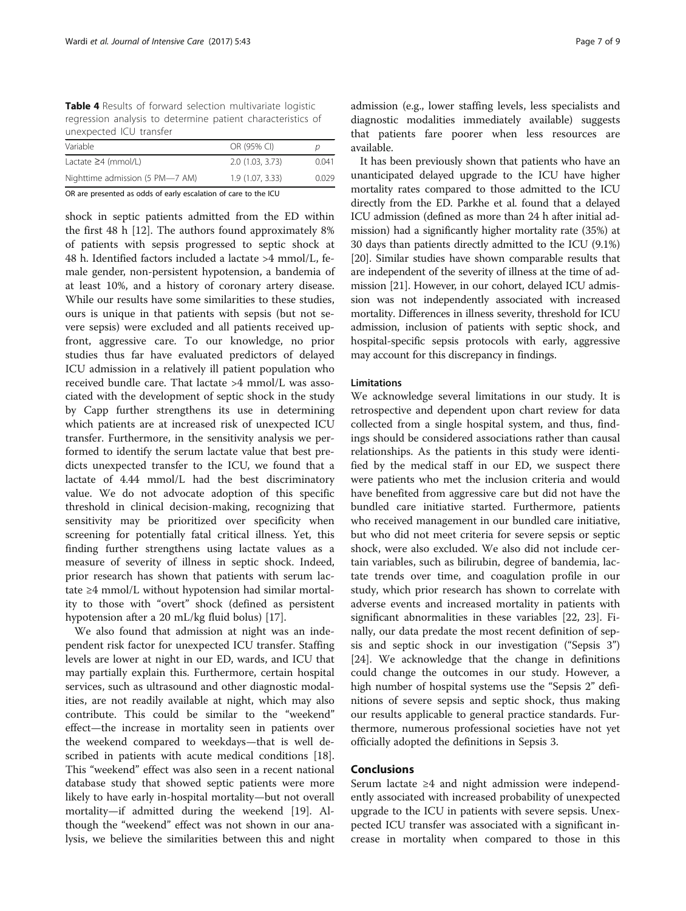<span id="page-6-0"></span>Table 4 Results of forward selection multivariate logistic regression analysis to determine patient characteristics of unexpected ICU transfer

| Variable                        | OR (95% CI)     | D     |
|---------------------------------|-----------------|-------|
| Lactate $\geq$ 4 (mmol/L)       | 2.0(1.03, 3.73) | 0.041 |
| Nighttime admission (5 PM-7 AM) | 1.9(1.07, 3.33) | 0.029 |

OR are presented as odds of early escalation of care to the ICU

shock in septic patients admitted from the ED within the first 48 h [[12](#page-7-0)]. The authors found approximately 8% of patients with sepsis progressed to septic shock at 48 h. Identified factors included a lactate >4 mmol/L, female gender, non-persistent hypotension, a bandemia of at least 10%, and a history of coronary artery disease. While our results have some similarities to these studies, ours is unique in that patients with sepsis (but not severe sepsis) were excluded and all patients received upfront, aggressive care. To our knowledge, no prior studies thus far have evaluated predictors of delayed ICU admission in a relatively ill patient population who received bundle care. That lactate >4 mmol/L was associated with the development of septic shock in the study by Capp further strengthens its use in determining which patients are at increased risk of unexpected ICU transfer. Furthermore, in the sensitivity analysis we performed to identify the serum lactate value that best predicts unexpected transfer to the ICU, we found that a lactate of 4.44 mmol/L had the best discriminatory value. We do not advocate adoption of this specific threshold in clinical decision-making, recognizing that sensitivity may be prioritized over specificity when screening for potentially fatal critical illness. Yet, this finding further strengthens using lactate values as a measure of severity of illness in septic shock. Indeed, prior research has shown that patients with serum lactate ≥4 mmol/L without hypotension had similar mortality to those with "overt" shock (defined as persistent hypotension after a 20 mL/kg fluid bolus) [[17](#page-7-0)].

We also found that admission at night was an independent risk factor for unexpected ICU transfer. Staffing levels are lower at night in our ED, wards, and ICU that may partially explain this. Furthermore, certain hospital services, such as ultrasound and other diagnostic modalities, are not readily available at night, which may also contribute. This could be similar to the "weekend" effect—the increase in mortality seen in patients over the weekend compared to weekdays—that is well described in patients with acute medical conditions [\[18](#page-7-0)]. This "weekend" effect was also seen in a recent national database study that showed septic patients were more likely to have early in-hospital mortality—but not overall mortality—if admitted during the weekend [[19\]](#page-7-0). Although the "weekend" effect was not shown in our analysis, we believe the similarities between this and night admission (e.g., lower staffing levels, less specialists and diagnostic modalities immediately available) suggests that patients fare poorer when less resources are available.

It has been previously shown that patients who have an unanticipated delayed upgrade to the ICU have higher mortality rates compared to those admitted to the ICU directly from the ED. Parkhe et al. found that a delayed ICU admission (defined as more than 24 h after initial admission) had a significantly higher mortality rate (35%) at 30 days than patients directly admitted to the ICU (9.1%) [[20](#page-7-0)]. Similar studies have shown comparable results that are independent of the severity of illness at the time of admission [[21](#page-7-0)]. However, in our cohort, delayed ICU admission was not independently associated with increased mortality. Differences in illness severity, threshold for ICU admission, inclusion of patients with septic shock, and hospital-specific sepsis protocols with early, aggressive may account for this discrepancy in findings.

#### Limitations

We acknowledge several limitations in our study. It is retrospective and dependent upon chart review for data collected from a single hospital system, and thus, findings should be considered associations rather than causal relationships. As the patients in this study were identified by the medical staff in our ED, we suspect there were patients who met the inclusion criteria and would have benefited from aggressive care but did not have the bundled care initiative started. Furthermore, patients who received management in our bundled care initiative, but who did not meet criteria for severe sepsis or septic shock, were also excluded. We also did not include certain variables, such as bilirubin, degree of bandemia, lactate trends over time, and coagulation profile in our study, which prior research has shown to correlate with adverse events and increased mortality in patients with significant abnormalities in these variables [\[22](#page-8-0), [23\]](#page-8-0). Finally, our data predate the most recent definition of sepsis and septic shock in our investigation ("Sepsis 3") [[24\]](#page-8-0). We acknowledge that the change in definitions could change the outcomes in our study. However, a high number of hospital systems use the "Sepsis 2" definitions of severe sepsis and septic shock, thus making our results applicable to general practice standards. Furthermore, numerous professional societies have not yet officially adopted the definitions in Sepsis 3.

#### Conclusions

Serum lactate ≥4 and night admission were independently associated with increased probability of unexpected upgrade to the ICU in patients with severe sepsis. Unexpected ICU transfer was associated with a significant increase in mortality when compared to those in this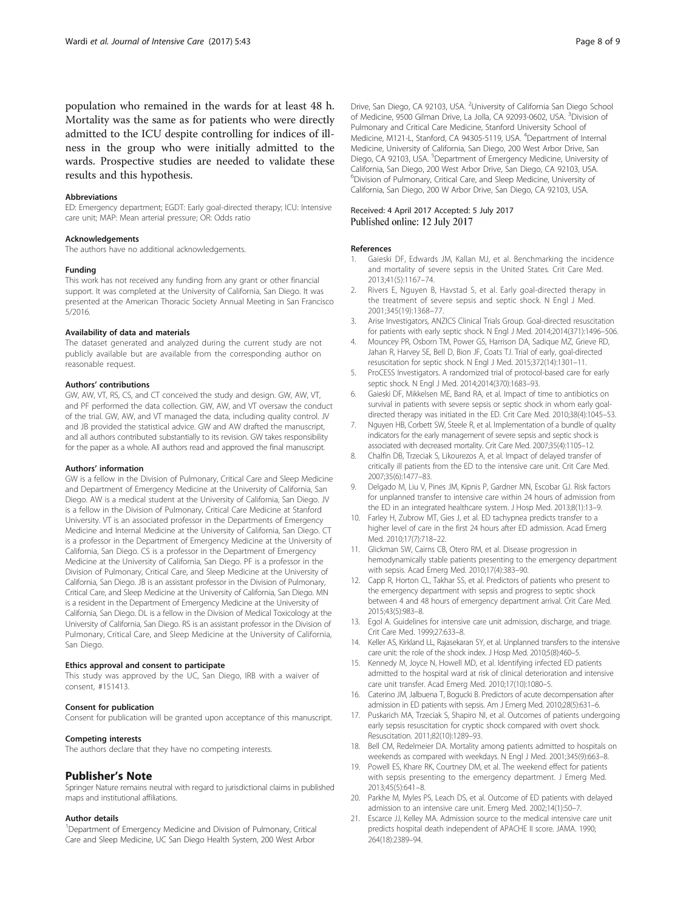<span id="page-7-0"></span>population who remained in the wards for at least 48 h. Mortality was the same as for patients who were directly admitted to the ICU despite controlling for indices of illness in the group who were initially admitted to the wards. Prospective studies are needed to validate these results and this hypothesis.

#### Abbreviations

ED: Emergency department; EGDT: Early goal-directed therapy; ICU: Intensive care unit; MAP: Mean arterial pressure; OR: Odds ratio

#### Acknowledgements

The authors have no additional acknowledgements.

#### Funding

This work has not received any funding from any grant or other financial support. It was completed at the University of California, San Diego. It was presented at the American Thoracic Society Annual Meeting in San Francisco 5/2016.

#### Availability of data and materials

The dataset generated and analyzed during the current study are not publicly available but are available from the corresponding author on reasonable request.

#### Authors' contributions

GW, AW, VT, RS, CS, and CT conceived the study and design. GW, AW, VT, and PF performed the data collection. GW, AW, and VT oversaw the conduct of the trial. GW, AW, and VT managed the data, including quality control. JV and JB provided the statistical advice. GW and AW drafted the manuscript, and all authors contributed substantially to its revision. GW takes responsibility for the paper as a whole. All authors read and approved the final manuscript.

#### Authors' information

GW is a fellow in the Division of Pulmonary, Critical Care and Sleep Medicine and Department of Emergency Medicine at the University of California, San Diego. AW is a medical student at the University of California, San Diego. JV is a fellow in the Division of Pulmonary, Critical Care Medicine at Stanford University. VT is an associated professor in the Departments of Emergency Medicine and Internal Medicine at the University of California, San Diego. CT is a professor in the Department of Emergency Medicine at the University of California, San Diego. CS is a professor in the Department of Emergency Medicine at the University of California, San Diego. PF is a professor in the Division of Pulmonary, Critical Care, and Sleep Medicine at the University of California, San Diego. JB is an assistant professor in the Division of Pulmonary, Critical Care, and Sleep Medicine at the University of California, San Diego. MN is a resident in the Department of Emergency Medicine at the University of California, San Diego. DL is a fellow in the Division of Medical Toxicology at the University of California, San Diego. RS is an assistant professor in the Division of Pulmonary, Critical Care, and Sleep Medicine at the University of California, San Diego.

#### Ethics approval and consent to participate

This study was approved by the UC, San Diego, IRB with a waiver of consent, #151413.

#### Consent for publication

Consent for publication will be granted upon acceptance of this manuscript.

#### Competing interests

The authors declare that they have no competing interests.

#### Publisher's Note

Springer Nature remains neutral with regard to jurisdictional claims in published maps and institutional affiliations.

#### Author details

<sup>1</sup>Department of Emergency Medicine and Division of Pulmonary, Critical Care and Sleep Medicine, UC San Diego Health System, 200 West Arbor

Medicine, M121-L, Stanford, CA 94305-5119, USA. <sup>4</sup>Department of Internal Medicine, University of California, San Diego, 200 West Arbor Drive, San Diego, CA 92103, USA. <sup>5</sup>Department of Emergency Medicine, University of California, San Diego, 200 West Arbor Drive, San Diego, CA 92103, USA. 6 Division of Pulmonary, Critical Care, and Sleep Medicine, University of California, San Diego, 200 W Arbor Drive, San Diego, CA 92103, USA.

#### Received: 4 April 2017 Accepted: 5 July 2017 Published online: 12 July 2017

#### References

- 1. Gaieski DF, Edwards JM, Kallan MJ, et al. Benchmarking the incidence and mortality of severe sepsis in the United States. Crit Care Med. 2013;41(5):1167–74.
- 2. Rivers E, Nguyen B, Havstad S, et al. Early goal-directed therapy in the treatment of severe sepsis and septic shock. N Engl J Med. 2001;345(19):1368–77.
- Arise Investigators, ANZICS Clinical Trials Group. Goal-directed resuscitation for patients with early septic shock. N Engl J Med. 2014;2014(371):1496–506.
- 4. Mouncey PR, Osborn TM, Power GS, Harrison DA, Sadique MZ, Grieve RD, Jahan R, Harvey SE, Bell D, Bion JF, Coats TJ. Trial of early, goal-directed resuscitation for septic shock. N Engl J Med. 2015;372(14):1301–11.
- 5. ProCESS Investigators. A randomized trial of protocol-based care for early septic shock. N Engl J Med. 2014;2014(370):1683–93.
- 6. Gaieski DF, Mikkelsen ME, Band RA, et al. Impact of time to antibiotics on survival in patients with severe sepsis or septic shock in whom early goaldirected therapy was initiated in the ED. Crit Care Med. 2010;38(4):1045–53.
- Nguyen HB, Corbett SW, Steele R, et al. Implementation of a bundle of quality indicators for the early management of severe sepsis and septic shock is associated with decreased mortality. Crit Care Med. 2007;35(4):1105–12.
- 8. Chalfin DB, Trzeciak S, Likourezos A, et al. Impact of delayed transfer of critically ill patients from the ED to the intensive care unit. Crit Care Med. 2007;35(6):1477–83.
- 9. Delgado M, Liu V, Pines JM, Kipnis P, Gardner MN, Escobar GJ. Risk factors for unplanned transfer to intensive care within 24 hours of admission from the ED in an integrated healthcare system. J Hosp Med. 2013;8(1):13–9.
- 10. Farley H, Zubrow MT, Gies J, et al. ED tachypnea predicts transfer to a higher level of care in the first 24 hours after ED admission. Acad Emerg Med. 2010;17(7):718–22.
- 11. Glickman SW, Cairns CB, Otero RM, et al. Disease progression in hemodynamically stable patients presenting to the emergency department with sepsis. Acad Emerg Med. 2010;17(4):383–90.
- 12. Capp R, Horton CL, Takhar SS, et al. Predictors of patients who present to the emergency department with sepsis and progress to septic shock between 4 and 48 hours of emergency department arrival. Crit Care Med. 2015;43(5):983–8.
- 13. Egol A. Guidelines for intensive care unit admission, discharge, and triage. Crit Care Med. 1999;27:633–8.
- 14. Keller AS, Kirkland LL, Rajasekaran SY, et al. Unplanned transfers to the intensive care unit: the role of the shock index. J Hosp Med. 2010;5(8):460–5.
- 15. Kennedy M, Joyce N, Howell MD, et al. Identifying infected ED patients admitted to the hospital ward at risk of clinical deterioration and intensive care unit transfer. Acad Emerg Med. 2010;17(10):1080–5.
- 16. Caterino JM, Jalbuena T, Bogucki B. Predictors of acute decompensation after admission in ED patients with sepsis. Am J Emerg Med. 2010;28(5):631–6.
- 17. Puskarich MA, Trzeciak S, Shapiro NI, et al. Outcomes of patients undergoing early sepsis resuscitation for cryptic shock compared with overt shock. Resuscitation. 2011;82(10):1289–93.
- 18. Bell CM, Redelmeier DA. Mortality among patients admitted to hospitals on weekends as compared with weekdays. N Engl J Med. 2001;345(9):663–8.
- 19. Powell ES, Khare RK, Courtney DM, et al. The weekend effect for patients with sepsis presenting to the emergency department. J Emerg Med. 2013;45(5):641–8.
- 20. Parkhe M, Myles PS, Leach DS, et al. Outcome of ED patients with delayed admission to an intensive care unit. Emerg Med. 2002;14(1):50–7.
- 21. Escarce JJ, Kelley MA. Admission source to the medical intensive care unit predicts hospital death independent of APACHE II score. JAMA. 1990; 264(18):2389–94.